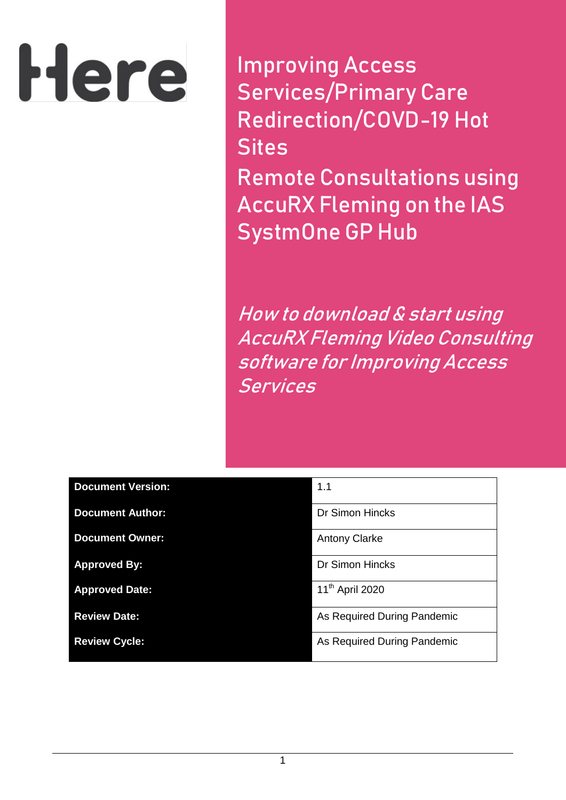# Here

**Improving Access Services/Primary Care Redirection/COVD-19 Hot Sites Remote Consultations using AccuRX Fleming on the IAS SystmOne GP Hub**

**How to download & start using AccuRX Fleming Video Consulting software for Improving Access Services** 

| <b>Document Version:</b> | 1.1                         |
|--------------------------|-----------------------------|
| <b>Document Author:</b>  | <b>Dr Simon Hincks</b>      |
| <b>Document Owner:</b>   | <b>Antony Clarke</b>        |
| <b>Approved By:</b>      | <b>Dr Simon Hincks</b>      |
| <b>Approved Date:</b>    | 11 <sup>th</sup> April 2020 |
| <b>Review Date:</b>      | As Required During Pandemic |
| <b>Review Cycle:</b>     | As Required During Pandemic |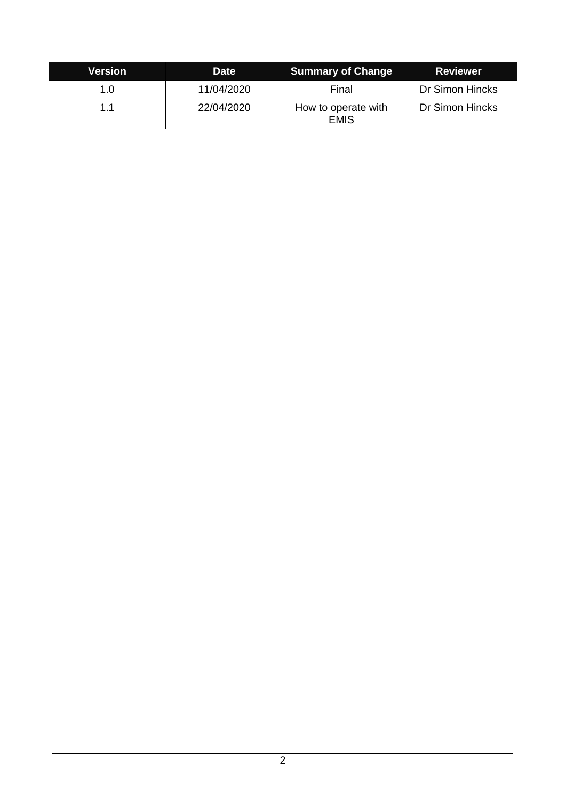| Version | <b>Date</b> | <b>Summary of Change</b>           | <b>Reviewer</b> |
|---------|-------------|------------------------------------|-----------------|
| 1.0     | 11/04/2020  | Final                              | Dr Simon Hincks |
| 11      | 22/04/2020  | How to operate with<br><b>EMIS</b> | Dr Simon Hincks |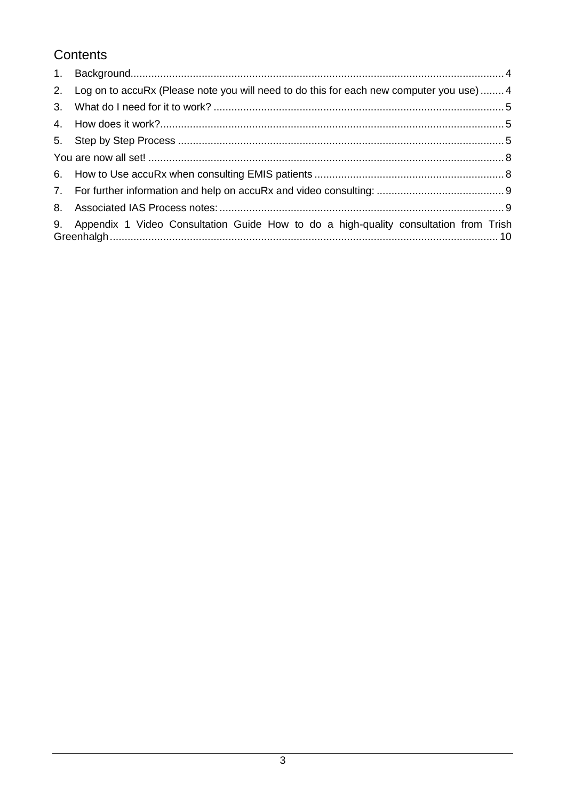# Contents

| 2. | Log on to accuRx (Please note you will need to do this for each new computer you use)4 |  |
|----|----------------------------------------------------------------------------------------|--|
| 3. |                                                                                        |  |
|    |                                                                                        |  |
|    |                                                                                        |  |
|    |                                                                                        |  |
|    |                                                                                        |  |
|    |                                                                                        |  |
|    |                                                                                        |  |
| 9. | Appendix 1 Video Consultation Guide How to do a high-quality consultation from Trish   |  |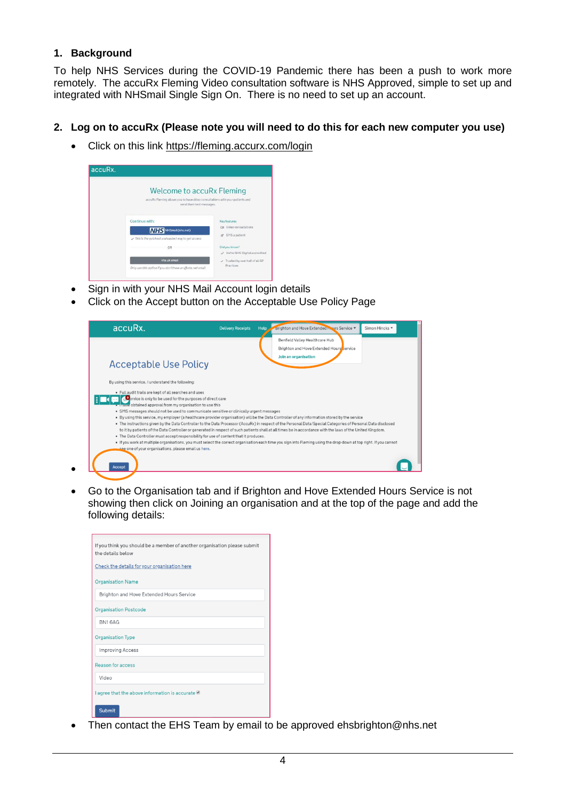#### <span id="page-3-0"></span>**1. Background**

 $\bullet$ 

To help NHS Services during the COVID-19 Pandemic there has been a push to work more remotely. The accuRx Fleming Video consultation software is NHS Approved, simple to set up and integrated with NHSmail Single Sign On. There is no need to set up an account.

#### <span id="page-3-1"></span>**2. Log on to accuRx (Please note you will need to do this for each new computer you use)**

• Click on this link<https://fleming.accurx.com/login>



- Sign in with your NHS Mail Account login details
- Click on the Accept button on the Acceptable Use Policy Page

| accuRx.                                                                                                                 | <b>Delivery Receipts</b> | <b>Help</b> | Brighton and Hove Extended Naurs Service<br>Simon Hincks -                                                                                                                                                                                                                                                                 |
|-------------------------------------------------------------------------------------------------------------------------|--------------------------|-------------|----------------------------------------------------------------------------------------------------------------------------------------------------------------------------------------------------------------------------------------------------------------------------------------------------------------------------|
|                                                                                                                         |                          |             | Benfield Valley Healthcare Hub<br>Brighton and Hove Extended Hours Service                                                                                                                                                                                                                                                 |
|                                                                                                                         |                          |             | Join an organisation                                                                                                                                                                                                                                                                                                       |
| <b>Acceptable Use Policy</b>                                                                                            |                          |             |                                                                                                                                                                                                                                                                                                                            |
| By using this service, I understand the following:                                                                      |                          |             |                                                                                                                                                                                                                                                                                                                            |
| · Full audit trails are kept of all searches and uses                                                                   |                          |             |                                                                                                                                                                                                                                                                                                                            |
| ervice is only to be used for the purposes of direct care<br>. Thave obtained approval from my organisation to use this |                          |             |                                                                                                                                                                                                                                                                                                                            |
| · SMS messages should not be used to communicate sensitive or clinically urgent messages                                |                          |             |                                                                                                                                                                                                                                                                                                                            |
|                                                                                                                         |                          |             | . By using this service, my employer (a healthcare provider organisation) will be the Data Controller of any information stored by the service                                                                                                                                                                             |
|                                                                                                                         |                          |             | . The instructions given by the Data Controller to the Data Processor (AccuRx) in respect of the Personal Data/Special Categories of Personal Data disclosed<br>to it by patients of the Data Controller or generated in respect of such patients shall at all times be in accordance with the laws of the United Kingdom. |
| . The Data Controller must accept responsibility for use of content that it produces.                                   |                          |             |                                                                                                                                                                                                                                                                                                                            |
|                                                                                                                         |                          |             | . If you work at multiple organisations, you must select the correct organisation each time you sign into Fleming using the drop-down at top right. If you cannot                                                                                                                                                          |
| see one of your organisations, please email us here.                                                                    |                          |             |                                                                                                                                                                                                                                                                                                                            |
|                                                                                                                         |                          |             |                                                                                                                                                                                                                                                                                                                            |
| <b>Accept</b>                                                                                                           |                          |             |                                                                                                                                                                                                                                                                                                                            |

 Go to the Organisation tab and if Brighton and Hove Extended Hours Service is not showing then click on Joining an organisation and at the top of the page and add the following details:

| If you think you should be a member of another organisation please submit<br>the details below |
|------------------------------------------------------------------------------------------------|
| Check the details for your organisation here                                                   |
| <b>Organisation Name</b>                                                                       |
| Brighton and Hove Extended Hours Service                                                       |
| <b>Organisation Postcode</b>                                                                   |
| BN16AG                                                                                         |
| <b>Organisation Type</b>                                                                       |
| <b>Improving Access</b>                                                                        |
| <b>Reason for access</b>                                                                       |
| Video                                                                                          |
| agree that the above information is accurate                                                   |
| <b>Submit</b>                                                                                  |

• Then contact the EHS Team by email to be approved ehsbrighton@nhs.net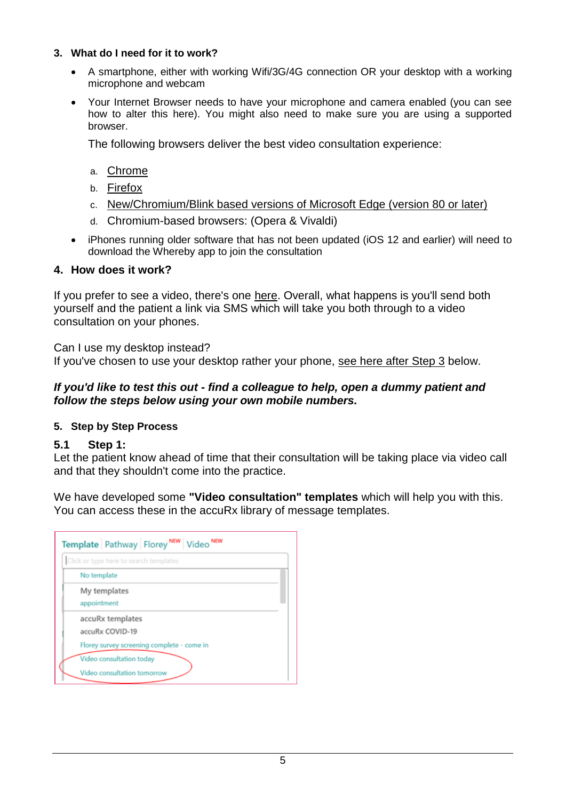#### <span id="page-4-0"></span>**3. What do I need for it to work?**

- A smartphone, either with working Wifi/3G/4G connection OR your desktop with a working microphone and webcam
- Your Internet Browser needs to have your microphone and camera enabled (you can see how to alter this here). You might also need to make sure you are using a supported browser.

The following browsers deliver the best video consultation experience:

- a. [Chrome](https://www.google.com/intl/en/chrome/browser/)
- b. [Firefox](https://www.mozilla.org/en-US/firefox/new/)
- c. [New/Chromium/Blink based versions of Microsoft Edge \(version 80 or later\)](https://support.accurx.com/en/articles/3790180-video-consultations-which-browsers-are-supported)
- d. Chromium-based browsers: (Opera & Vivaldi)
- iPhones running older software that has not been updated (iOS 12 and earlier) will need to download the Whereby app to join the consultation

# <span id="page-4-1"></span>**4. How does it work?**

If you prefer to see a video, there's one [here.](https://www.youtube.com/watch?v=gBDBzB1LqJc) Overall, what happens is you'll send both yourself and the patient a link via SMS which will take you both through to a video consultation on your phones.

Can I use my desktop instead?

If you've chosen to use your desktop rather your phone, [see here after Step 3](https://support.accurx.com/en/articles/3779225-can-i-do-video-consultations-from-my-desktop-comput) below.

### *If you'd like to test this out - find a colleague to help, open a dummy patient and follow the steps below using your own mobile numbers.*

# <span id="page-4-2"></span>**5. Step by Step Process**

# **5.1 Step 1:**

Let the patient know ahead of time that their consultation will be taking place via video call and that they shouldn't come into the practice.

We have developed some **"Video consultation" templates** which will help you with this. You can access these in the accuRx library of message templates.

| Click or type here to search templates                  |  |
|---------------------------------------------------------|--|
| No template                                             |  |
| My templates<br>appointment                             |  |
| accuRx templates<br>accuRx COVID-19                     |  |
| Florey survey screening complete - come in              |  |
| Video consultation today<br>Video consultation tomorrow |  |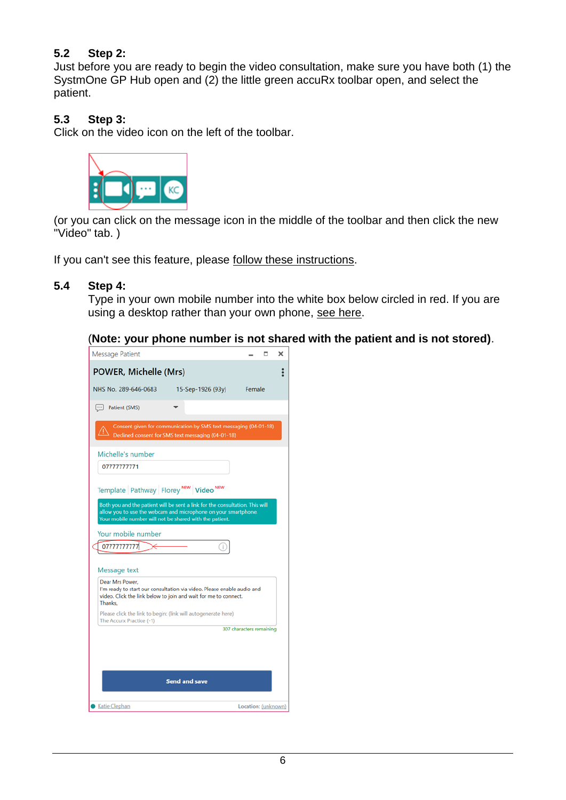# **5.2 Step 2:**

Just before you are ready to begin the video consultation, make sure you have both (1) the SystmOne GP Hub open and (2) the little green accuRx toolbar open, and select the patient.

# **5.3 Step 3:**

Click on the video icon on the left of the toolbar.



(or you can click on the message icon in the middle of the toolbar and then click the new "Video" tab. )

If you can't see this feature, please [follow these instructions.](https://support.accurx.com/en/articles/3781565-i-can-t-see-video-consultation-or-the-covid-19-florey)

#### **5.4 Step 4:**

Type in your own mobile number into the white box below circled in red. If you are using a desktop rather than your own phone, [see here.](https://support.accurx.com/en/articles/3779225-can-i-do-video-consultations-from-my-desktop-computer)

#### (**Note: your phone number is not shared with the patient and is not stored)**.

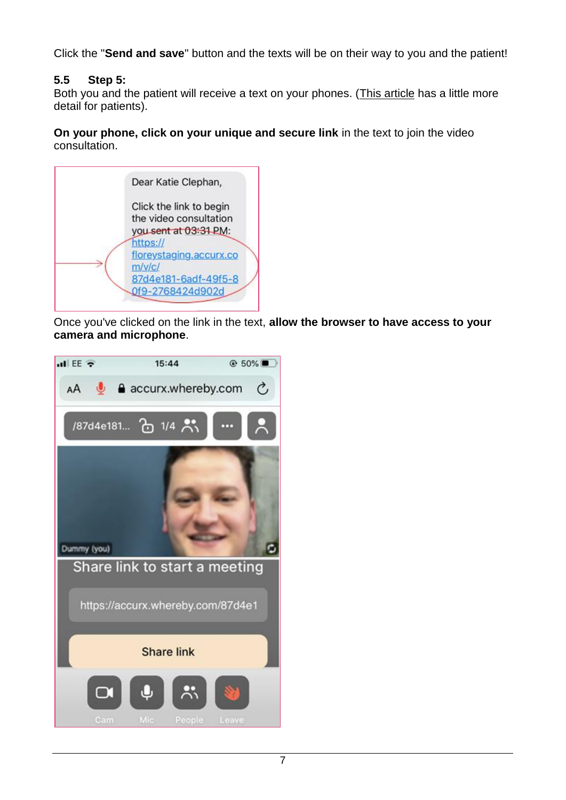Click the "**Send and save**" button and the texts will be on their way to you and the patient!

# **5.5 Step 5:**

Both you and the patient will receive a text on your phones. [\(This article](https://support.accurx.com/en/articles/3790662-my-gp-has-sent-me-a-video-link) has a little more detail for patients).

**On your phone, click on your unique and secure link** in the text to join the video consultation.



Once you've clicked on the link in the text, **allow the browser to have access to your camera and microphone**.

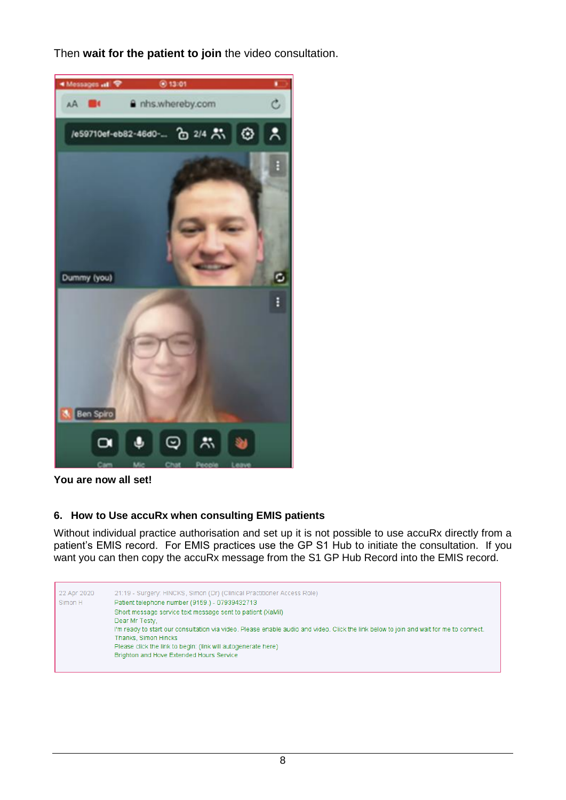Then **wait for the patient to join** the video consultation.



**You are now all set!**

п

# <span id="page-7-1"></span><span id="page-7-0"></span>**6. How to Use accuRx when consulting EMIS patients**

Without individual practice authorisation and set up it is not possible to use accuRx directly from a patient's EMIS record. For EMIS practices use the GP S1 Hub to initiate the consultation. If you want you can then copy the accuRx message from the S1 GP Hub Record into the EMIS record.

| 22 Apr 2020 | 21:19 - Surgery: HINCKS, Simon (Dr) (Clinical Practitioner Access Role)                                                                |
|-------------|----------------------------------------------------------------------------------------------------------------------------------------|
| Simon H     | Patient telephone number (9159.) - 07939432713                                                                                         |
|             | Short message service text message sent to patient (XaMil)                                                                             |
|             | Dear Mr Testy.                                                                                                                         |
|             | I'm ready to start our consultation via video. Please enable audio and video. Click the link below to join and wait for me to connect. |
|             | Thanks, Simon Hincks                                                                                                                   |
|             | Please click the link to begin: (link will autogenerate here)                                                                          |
|             | Brighton and Hove Extended Hours Service                                                                                               |
|             |                                                                                                                                        |
|             |                                                                                                                                        |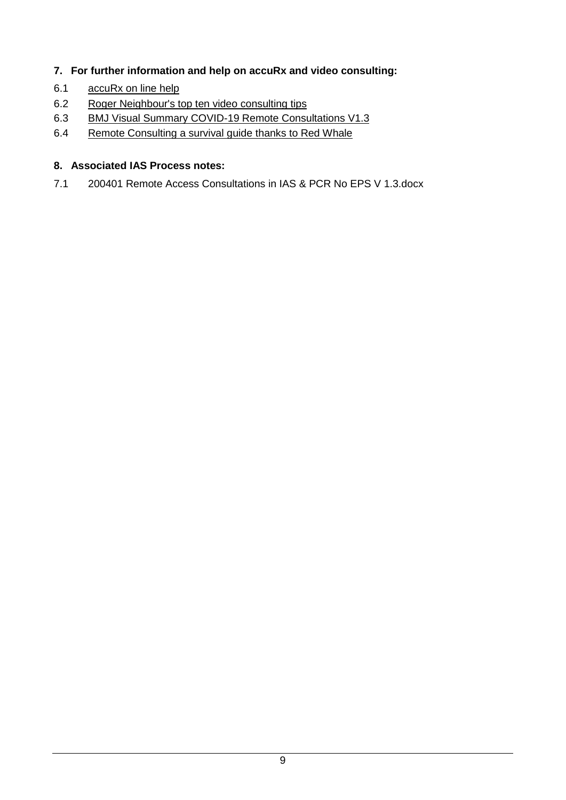# <span id="page-8-0"></span>**7. For further information and help on accuRx and video consulting:**

- 6.1 [accuRx on line help](https://support.accurx.com/en/)
- 6.2 [Roger Neighbour's top ten video consulting tips](https://www.rcgp.org.uk/about-us/rcgp-blog/top-10-tips-for-successful-gp-video-consultations.aspx)
- 6.3 [BMJ Visual Summary COVID-19 Remote Consultations V1.3](https://www.bmj.com/content/bmj/suppl/2020/03/24/bmj.m1182.DC1/gret055914.fi.pdf)
- 6.4 [Remote Consulting a survival guide thanks to Red Whale](https://primarycarepathways.co.uk/covid-19/clinical-assessment/resources-to-support-remote-working-for-doctors/198-remote-consulting-a-survival-guide-copy-thanks-to-red-whale/file)

# <span id="page-8-1"></span>**8. Associated IAS Process notes:**

7.1 200401 Remote Access Consultations in IAS & PCR No EPS V 1.3.docx